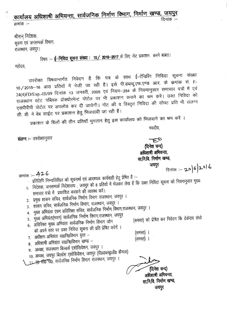# .<sub>कार्यालय</sub> अधिशाषी अभियन्ता, सार्वजनिक निर्माण विभाग, निर्माण खण्ड, जयपु <u>पगपालपं जान्नेतानां का संस्कृतस्य समाप्ता समाप्ता ।</u><br>कर्माकः –

श्रीमान निदेशक, सूचना एवं जनसम्पर्क विभाग, राजस्थान, जयपुर।

**िविषय :- <del>ई-निविदा सूचना संख्या</del> : 10/ 2016-2017** के लिए नोट प्रकाशन \* करने बाबत।

महोदय,

उपरोक्त विषयान्तर्गत निवेदन है कि पत्र के साथ ई–टेन्डिरिंग निविदा सूचना संख्या 10/2015-16 आठ प्रतियों में भेजी जा रही है। इसे पी.डब्ल्यू.एफ.एण्ड आर. के कमांक सं. F-24(4)FD/Exp.-III/09 दिनांक 13 जनवरी, 2005 एवं नियम–284 के नियमानुसार समाचार पत्रों में एवं राजस्थान स्टेट पब्लिक प्रोक्योरमेन्ट पोर्टल पर भी प्रकाशन कराने का श्रम करें। उक्त निविदा को एसपीपीपी पोर्टल पर अपलोड कर दी जायेगी। नोट की व विस्तृत निविदा की सोफ्ट प्रति भी संलग्न सी. डी. में वेब साईट पर प्रकाशन हेतु भिजवायी जा रही है।

प्रकाशन के बिलों की तीन प्रतियाँ भुगतान हेतु इस कार्यालय को भिजवाने का श्रम करें ।

भवदीय,

संलग्न :- उपरोक्तानुसार

~ (दिनेश चन्द) अधिशाषी अभियन्ता, सा.नि.वि. निर्माण खण्ड,

**~ ~:\_ '2..0)6 ):l-tll-b**

 $\overline{B}$ क्मांक :- 426

- प्रतिलिपि निम्नालिखित को सूचनार्थ एवं आवश्यक कार्यवाही हेतु प्रेषित है :–
- 1. निदेशक, जनसम्पर्क निदेशालय , जयपुर को 8 प्रतियों में भेजकर लेख है कि उक्त निविदा सूचना को नियमानुसार मुख्य
- समाचार पत्रो में प्रकाशित करवाने की व्यवस्थ करें। 2. प्रमुख शासन सचिव, सार्वजनिक निर्माण विभाग राजस्थान, जयपुर ।
- 3. शासन सचिव, सार्वजनिक निर्माण विभाग, राजस्थान, जयपुर ।
- 4. <sup>~</sup> <sup>~</sup> <sup>~</sup> <sup>~</sup> fi,tll&\l1(1ClJ~ ~,~, <sup>~</sup> <sup>I</sup>
- 5. मुख्य अभियंता(भवन) सार्वजनिक निर्माण विभाग,राजस्थान, जयपुर
- 6. अतिरिक्त मुख्य अभियंता सार्वजनिक निर्माण विभाग जोन
- को अपने स्तर पर उक्त निविदा सूचना की प्रति प्रेषित करेगें ।  $7.$  अधीक्षण अभियंता सा0नि0विभाग वृत्त -
- $8.$  अधिशाषी अभियंता सा0नि0विभाग खण्ड -
- 9. अध्यक्ष, राजस्थान बिल्डर्स एशोसियेशन, जयपुर ।
- $10.$  अध्यक्ष, जयपुर बिर्ल्डस एशोसियेशन, जयपुर (पी0डब्ल्यू0डी0 कैम्पस)
- $\mu$   $\mu$   $\tau$   $\theta$   $\theta$  tho  $\tau$  and  $\theta$  and  $\theta$  and  $\theta$  and  $\theta$  and  $\theta$  and  $\theta$  and  $\theta$  and  $\theta$  and  $\theta$  and  $\theta$  and  $\theta$  and  $\theta$  and  $\theta$  and  $\theta$  and  $\theta$  and  $\theta$  and  $\theta$  and  $\theta$  and  $\theta$  and  $\theta$

(दिनेश चन्द) अधिशाषी अभियन्ता, **m.f.tfa. Mur ~,**

(समस्त) ।  $($ समस्त्) ।

जयपुर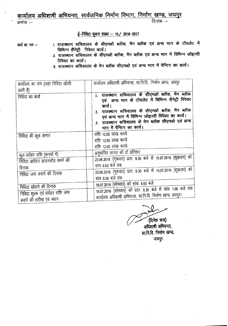# कार्यालय अधिशाषी अभियन्ता, सार्वजनिक निर्माण विभाग, निर्माण खण्ड, जयपुर

क्रमांक :--

दिनांक $=$ 

 $\frac{2016}{2016}$  सूचना संख्या :- 10 / 2016-2017

कार्य का नाम :–

- 1. राजस्थान सचिवालय के सीएमओ ब्लॉक, मेंन ब्लॉक एवं अन्य भाग के टॉयलेट में विभिन्न सैनेट्री शियेयर कार्य।
- 2. राजस्थान सचिवालय के सीएमओ ब्लॉक, मेंन ब्लॉक एवं अन्य भाग में विभिन्न जोइनरी **R**uared **I**
- 3. राजस्थान सचिवालय के मेन ब्लॉक सीएमओ एवं अन्य भाग में पेन्टिग का कार्य।

| कार्यालय का नाम (जहां निविदा खोली | कार्यालय अधिशाषी अभियन्ता, सा.नि.वि., निर्माण खण्ड, जयपुर                                           |
|-----------------------------------|-----------------------------------------------------------------------------------------------------|
| जानी है)                          |                                                                                                     |
| निविदा का कार्य                   | 1. राजस्थान सचिवालय के सीएमओ ब्लॉक, मेन ब्लॉक<br>एवं अन्य भाग के टॉयलेट में विभिन्न सैनेट्री रिपेयर |
|                                   |                                                                                                     |
|                                   | कार्य ।<br>2. राजस्थान सचिवालय के सीएमओ ब्लॉक, मेंन ब्लॉक                                           |
|                                   | एवं अन्य भाग में विभिन्न जोइनरी रिपेयर का कार्य।                                                    |
|                                   | 3. राजस्थान सचिवालय के मेन ब्लॉक सीएमओ एवं अन्य                                                     |
|                                   | भाग में पेंन्टिग का कार्य।                                                                          |
| निविदा की कुल लागत                | राशि 12.00 लाख रूपये                                                                                |
|                                   | राशि 12.00 लाख रूपये                                                                                |
|                                   | राशि 12.00 लाख रूपये                                                                                |
| कुल धरोहर राशि (रूपयों में)       | अनुमानित लागत की दो प्रतिशत                                                                         |
| निविदा आवेदन डाउनलोड करने की      | 23.06.2016 (गुरूवार) प्रातः 9.30 बजे से 15.07.2016 (शुक्रवार) को                                    |
| दिनांक                            | सांय 6.00 बजे तक                                                                                    |
| निविदा जमा कराने की दिनांक        | 23.06.2016 (गुरूवार) प्रातः 9.30 बजे से 15.07.2016 (शुक्रवार) को                                    |
|                                   | सांय 6.00 बजे तक                                                                                    |
| निविदा खोलने की दिनांक            | 18.07.2016 (सोमवार) को सांयः 4.00 बजे                                                               |
|                                   | 18.07.2016 (सोमवार) को प्रातः 9.30 बजे से सांय 1.00 बजे तक                                          |
| निविदा शुल्क एवं धरोहर राशि जमा   | कार्यालय अधिशाषी अभियन्ता, सा.नि.वि. निर्माण खण्ड जयपुर।                                            |
| कराने की तारीख एवं स्थान          |                                                                                                     |

(दिनेश चन्द)

अधिशाषी अभियन्ता, सा.नि.वि. निर्माण खण्ड, जयपुर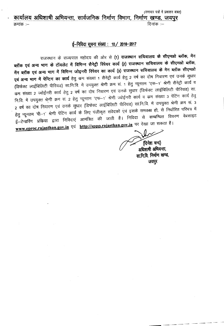## (समाचार पत्रों में प्रकाशन बाबत) कार्यालय अधिशाषी अभियन्ता, सार्वजनिक निर्माण विभाग, निर्माण खण्ड, जयपुर

क्रमांक :--

दिनांक :-

### ई-निविदा सूचना संख्या : 10 / 2016-2017

राजस्थान के राज्यपाल महोदय की ओर से **(1) राजस्थान संचिवालय के सीएमओ ब्लॉक**, म ~ ~ 3Ri 1fIlT <sup>~</sup> **cll1clc ~ ~ ~ ~ q}fl.f (2) ~** 'ti~ql(i1l1 <sup>~</sup> <sup>~</sup> ~. मेंन ब्लॉक एवं अन्य भाग में विभिन्न जोइनरी रिपेयर का कार्य (3) राजस्थान सचिवालय के मेन ब्लॉक सीएमओ **एवं अन्य भाग में पेन्टिग का कार्य** हेतु कम संख्या 1 सैनेट्री कार्य हेतु 2 वर्ष का दोष निवारण एवं उनके सुधार (डिफेक्ट लाईबिलिटी पीरियड) सा.नि.वि. में उपयुक्त श्रेणी क्रम सं. 1 हेतु न्यूनतम 'एस-1' श्रेणी सैनेट्री कार्य व कम संख्या 2 ज्वोईनरी कार्य हेतु 2 वर्ष का दोष निवारण एवं उनके सुधार (डिफेक्ट लाईबिलिटी पीरियड) सा. नि.वि. में उपयुक्त श्रेणी क्रम सं. 2 हेतु न्यूनतम 'एफ--1' श्रेणी ज्वोईनरी कार्य व कम संख्या 3 पेंटिंग कार्य हेतु 2 वर्ष का दोष निवारण एवं उनके सुधार (डिफेक्ट लाईबिलिटी पीरियड) सां.नि.वि. में उपयुक्त श्रेणी क्रम सं. 3 हेतु न्यूनतम 'पी—1' श्रेणी पेंटिंग कार्य के लिए पंजीकृत संवेदकों एवं इसके समकक्ष हो, से निर्धारित परिपत्र में ई—टेन्डरिंग प्रकिया द्वारा निविदाएं आमंत्रित की जाती है। निविदा से सम्बन्धित विवरण वेबसाइट www.eproc.rajasthan.gov.in एवं http://sppp.rajasthan.gov.in पर देखा जा सकता है।

~ (दिनेश चन्द) अधिशाषी अभियन्ता, सा नि.वि. निर्माण खण्ड, जयपुर

-------

----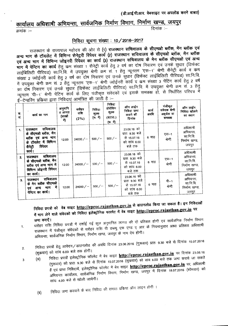# कार्यालय अधिशार्षी अभियन्ता, सार्वजनिक निर्माण विभाग, <u>निर्माण खण्ड, जयपु</u>

<sup>~</sup> :- <sup>~</sup> :-

#### निविदा सूचना संख्या : 10 / 2016-2017

राजस्थान के राज्यपाल महोदय की ओर से (1) **राजस्थान सचिवालय के सीएमओ ब्लॉक, मेंन ब्लॉक एवं** <sub>अन्य</sub> भाग के टॉयलेट में विभिन्न सेनेट्ररी रिपेयर कार्य (2) राजस्थान सचिवालय के सीएमओ ब्लॉक, मेन ब्लॉक एवं अन्य भाग में विभिन्न जोइनरी रिपेयर का कार्य (3) राजस्थान सचिवालय के मेन ब्लॉक सीएमओ एवं अन्य भाग में पेन्टिग का कार्य हेतु कम संख्या 1 सैनेट्री कार्य हेतु 2 वर्ष का दोष निवारण एवं उनके सुधार (डिफेक्ट लाईबिलिटी पीरियड) सा.नि.वि. में उपयुक्त श्रेणी क्रम सं. 1 हेतु न्यूनतम 'एस-1' श्रेणी सैनेट्री कार्य व कम ~ 2 \R.Il~'1'~~~. -gg 2 ~ q)f ~ Pl,mol ~ \ReF ~ (~ C"II~~~C"I ~) W.f.1.frt में उपयुक्त श्रेणी क्रम सं. 2 हेतु न्यूनतम 'एफ–1' श्रेणी ज्वोईनरी कार्य व कम संख्या 3 पेंटिंग कार्य हेतु 2 वर्ष Client Client Client & Client Client Client Client Client Client Client Client Client Client Client Client & C<br>का दोष निवारण एवं उनके सुधार (डिफेक्ट लाईबिलिटी पीरियड) सा.नि.वि. में उपयुक्त श्रेणी क्रम सं 3 हेतु न्यूनतम 'पी-1' श्रेणी पेंटिंग कार्य के लिए पंजीकृत संवेदकों एवं इसके समकक्ष हो, से निर्धारित परिपत्र में  $t\bar{t}$ –टेन्डरिंग प्रकिया द्वारा निविदाएं आमंत्रित की जाती है :–

|              | $\sim$ $\sim$ $\sim$ $\sim$ $\sim$                                                                               |                                     |                          |                                                   |                                                                               |                                                                         |               |                                                  |                                                             |
|--------------|------------------------------------------------------------------------------------------------------------------|-------------------------------------|--------------------------|---------------------------------------------------|-------------------------------------------------------------------------------|-------------------------------------------------------------------------|---------------|--------------------------------------------------|-------------------------------------------------------------|
| Φ.<br>सं.    | कार्य का नाम                                                                                                     | अनुमानि<br>त लागत<br>(लाखों<br>में) | धरोहर<br>राशि<br>$(2\%)$ | निविदा<br>गुल्क<br>$(\overline{r}, \overline{r})$ | निविदा<br>प्रोसेसिंग<br>शुल्क<br>(RISL)<br>$(\overline{v_0}, \overline{v_1})$ | ऑन लाईन<br>निविदा जमा<br>कराने की<br>दिनांक                             | कार्य<br>अवधि | पंजीकृत<br>संवेदक श्रेणी<br>अहर्यता या<br>समकक्ष | ऑन लाईन<br>निविदा खोलने<br>का स्थान                         |
| 1.           | सचिवालय<br>राजस्थान<br>के सीएमओ ब्लॉक, मेंन<br>ब्लॉक एवं अन्य भाग<br>के टॉयलेट में विभिन्न<br>रिपेयर<br>सैनेट्री | 12.00                               | $24000/-$                | 500/                                              | $500 / -$                                                                     | 23.06.16 को<br>प्रातः 9.30 बजे<br>से 15.07.16<br>को सांय 6.00<br>बजे तक | 6 माह         | एस-1<br>श्रेणी                                   | अधिशाषी<br>अभियन्ता.<br>सा.नि.वि.<br>निर्माण खण्ड,<br>जयपुर |
| $\mathbf{z}$ | कार्य ।<br>सचिवालय<br>राजस्थान<br>के सीएमओ ब्लॉक, मेंन<br>ब्लॉक एवं अन्य भाग में<br>विभिन्न जोइनरी रिपेयर        | 12.00                               | 24000/ $-$               | $500/-$                                           | $500 / -$                                                                     | 23.06.16 को<br>प्रातः 9.30 बजे<br>से 15.07.16<br>को सांय 6.00<br>बजे तक | 6 माह         | एफ-1<br>श्रेणी                                   | अधिशाषी<br>अभियन्ता,<br>सा.नि.वि.<br>निर्माण खण्ड,<br>जयपुर |
| 3.           | का कार्य।<br>सचिवालय<br>राजस्थान<br>के मेन ब्लॉक सीएमओ<br>में<br>माग<br>अन्य<br>एवं<br>पेन्टिंग का कार्य।        | 12.00                               | $24000/-$                | 500/                                              | $500 / -$                                                                     | 23.06.16 को<br>प्रातः 9.30 बजे<br>से 15.07.16<br>को सांय 6.00<br>बजे तक | 6 माह         | पी-1<br>श्रेणी                                   | अधिशाषी<br>अभियन्ता,<br>सा.नि.वि.<br>निर्माण खण्ड,<br>जयपुर |

- निविदा प्रपत्रो को वेब साइट http://eproc.rajasthan.gov.in से डाउनलोड किया जा सकता है। इन निविदाओं में भाग लेने वाले संवेदको को निविदा इलेक्ट्रोनिक फारमेट में वेब साइट http://eproc.rajasthan.gov.in पर
- 1. जमा कराऐं।<br>- XTF क्लिए निजिया पुपानों में दर्जार्ड गई कल अनुमानित लागत की दो प्रतिशत होगी एवं सार्वजनिक निर्माण विभाग राजस्थान में पंजीकृत संवेदकों से धरोहर राशि पी डब्ल्यु एफ एण्ड ए आर के नियमानुसार आधा प्रतिशत अधिशाषी .<br>अभियन्ता, सार्वजनिक निर्माण विभाग, निर्माण खण्ड, जयपुर के नाम देय होगी।
- निविदा प्रपत्रों हेतु आवेदन ⁄ डाउनलोड की अवधि दिनांक 23.06.2016 (गुरूवार) प्रातः 9.30 बजे से दिनांक 15.07.2016 (शुक्रवार) को सांय 6.00 बजे तक होगी। 2.

(31) f.1fclGT W1?1T ~"'Cfs::)f.'I<tl <sup>~</sup> +1' <Tcr <sup>~</sup> **http://eproc.rajastban.gov.in ~ ~** 23.0616

- (गुरूवार) को प्रातः 9.30 बजे से दिनांक 15.07.2016 (शुक्रवार) को सांय 6.00 बजे तक जमा कराये जा सकते ्टें एवं प्राप्त निविदायें, इलेक्ट्रोनिक फॉरमेट में बेव साइट **http://eproc.rajasthan.gov.in** पर, अधिशाषी अभियन्ता कार्यालय, सार्वजनिक निर्माण विभाग, निर्माण खण्ड, जयपुर में दिनांक 18.07.2016 (सोमवार) को सांयः 4.00 बजे से खोली जायेगी।
	- निविदा जमा करवाने के बाद निविदा की समस्त प्रकिया ऑन लाइन होगी । (ৰ)

3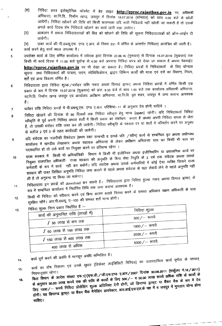- $(H)$ <sup>निविदा</sup> प्रपत्र इलेक्ट्रोनिक फॉरमेट में बेव साइट **<u>http://eproc.rajasthan.gov.in</u> पर अ**<br>अभिप्रान्स मानिनि निर्मात ... अभियन्ता, सा.नि.वि., निर्माण खण्ड, जयपुर में दिनांक 18.07.2016 (सोमवार) को सांय 4.00 बजे से खोली जायेगी। निविदा खोलने की तिथि को किसी कारणवश यदि सारी निविदायें नहीं खोली जा सकती है तो उसके आगले कार्य दिवस शेष निविदायें खोलने का कार्य जारी रखा जायेगा।
- आकंलन में सफल निविदादाताओं की बिड को खोलने की तिथि की सूचना निविदादाताओं को ऑन--लाईन दी<br>जावेगी। (G)
- (~) \3C.Iff cpp:f qfr -qt= ~ . cpp:f m tg "Cf>"T<f <sup>~</sup> .~ <sup>~</sup> 1:!.~. C() f.1<p:f <sup>331</sup> if qf'Uf-(i- oF 3Rf1fu <sup>~</sup> <sup>~</sup> "\$1 <sup>~</sup> *t* <sup>i</sup>
- एपरोक्त कार्य के लिए वर्णित कार्यालय में संवेदक द्वारा दिनांक 23.06.16 (गुरूवार) से दिनांक 15.07.2016 (शुक्रवार) तक किसी भी कार्य दिवस में 11.00 बजे पूर्वान्ह से 4.00 बजे अपरान्ह निविदा प्रपत्र को देखा जा सकता है अथवा वेबसाईट **http://eproc.rajasthan.gov.in** पर भी देखा जा सकता है। निविदा प्रपत्रों में निविदाकर्ता के लिए र<br>http://eproc.rajasthan.gov.in पर भी देखा जा सकता है। निविदा प्रपत्रों में निविदाकर्ता के लिए र सूचना तथा निविदाकर्ता की पात्रता, प्लान, स्पेसिफिकेशन, ड्राइंग विभिन्न कार्यों की मात्रा एवं दरों का विवरण, नियम,<br>पु 5
- निविदादाता द्वारा निविदा शुल्क /धरोहर राशि नकद अथवा डिमाड झ़फट् अथवा निविदा प्रपत्रों में वर्णित किसी एक प्रकार के रूप में दिनांक 15.07.2016 (शुकवार) को प्रातः 9.30 बजे से सांय 1.00 बजे तक कार्यालय अधिशाषी अभियन्ता, सा.नि.वि. निर्माण खण्ड जयपुर एवं कार्यालय अधीक्षण अभियन्ता, सा.नि.वि. वृत शहर, जयपुर में जमा कराना आवश्यक<br>है। 6
	- धरोहर राशि निविदा प्रपत्रों में पी.डब्ल्यू.एफ. एण्ड ए.आर. परिशिष्ठ—11 के अनुसार देय होनी चाहिये ।
- निविदा खेालने की दिनांक से 90 दिवसों तक निविदा स्वीकृत हेतु मान्य (open) रहेगी। यदि निविदाकर्ता निविदा -<br>स्वीकृति से पूर्व अपनी निविदा अथवा शर्तों में किसी प्रकार का संशोधन करता है अथवा अपनी निविदा वापस ले लेता है, तो उसकी धरोहर राशि जब्त कर ली जावेगी। निविदा स्वीकृति के पश्चात दर या शर्तों में परिवर्तन करने पर अनुबंध के क्लॉज 2 एवं 3 के तहत कार्यवाही की जावेगी। 8
- यदि संवेदक का नजदीकी रिश्तेदार (प्रथम रक्त सम्बन्धी व उनके पति  $\,$ पत्नि) कार्य से सम्बन्धित वृत अथवा अधीनस्थ कार्यालय में खण्डीय लेखाकार अथवा सहायक अभियन्ता से लेकर अधीक्षण अभियन्ता स्तर का किसी भी स्तर पर पदस्थापित हो तो उसे कार्य पर नियुक्त करने पर प्रतिबन्ध रहेगा । 9
- राज्य सरकार में किसी भी अभियांत्रिकी विभाग में किसी भी इंजीनियर अथवा इंजीनियरिंग या प्रशासनिक कार्य पर नियुक्त राजपत्रित अधिकारी राज्य सरकार की अनुमति के बिना सेवा निवृति के 2 वर्ष तक संवेदक अथवा उसके <sup>~</sup> oF <sup>~</sup> if m -;:ffi'r"Cf>X <sup>~</sup> <sup>I</sup> <sup>~</sup> <sup>~</sup> 3l~ <sup>~</sup> <b4illRlll if <sup>~</sup> -q-m <sup>~</sup> ftR:R <sup>~</sup> .<br>सरकार की उक्त लिखित अनुमति निविदा जमा कराने से पहले अथवा संवेदक के यहां सेवायें लेने से पहले अनुमति नहीं ली है तो अनुबन्ध रद्द किया जा सकेगा। 10
- निविदादाता इन प्रपत्रों को download कर सकते है। निविदादाता द्वारा निविदा शुल्क नकद अथवा डिमाडं ड्राफट् के रूप में सम्बन्धित कार्यालय में निर्धारित तिथि तक जमा कराना आवश्यक है। 11
- 12. किसी भी निविदा को स्वीकार करने एवं बिना कारण बताये निरस्त करने के समस्त अधिकार <mark>सक्षम</mark> अधिकारी के पास
- ~ ~ I 3l'TX.-qt.~ --C;-100qfr ~ ~"l'1Fl m-rfIl

4

7

13.

| HARICH JOSE SPRING                        |                |
|-------------------------------------------|----------------|
| निविदा शुल्क निम्न प्रकार निर्धारित है :– |                |
| कार्य की अनुमानित राशि (लाखों में)        | निविदा शुल्क   |
| $\int$ 50 लाख से कम तक                    | 500 ⁄ — रूपये  |
|                                           | 1000 / - रूपये |
| ∫ 50 लाख से 150 लाख तक                    | 2000 ⁄ — रूपये |
| ∫ 150 लाख से 400 लाख तक                   |                |
|                                           | 5000 ⁄ — रूपये |
| 400 लाख से अधिक                           |                |

- कार्य पूर्ण करने की अवधि में मानसून अवधि सम्मिलित है।
- कार्य पूर्ण करने की अवधि में मानसून अवधि साम्मालत ६ ।<br>कार्य का दोष निवारण एवं उनके सुधार (डिफेक्ट लाईबिलिटी पिरियड) का उत्तरदायित्व कार्य पूर्णता के पश्चात्<br>कार्य का दोष निवारण एवं उनके सुधार (डिफेक्ट लाईबिलिटी पिरियड) का 14. 15.
- कार्य का दोष निवारण एवं उनके सुधार (1971)<br>नियमानुसार रहेगा।<br>वित्त विभाग के आदेश संख्या एफ.1(1)एफ.डी./जी.एफ.एण्ड ए.आर/2007 दिनांक 30.09.2011 (सर्कुलर नं.19/2011)<br>वित्त विभाग के आदेश संख्या एफ.1(1)एफ.डी./जी.एफ.एण्ड ए.आर/200 नियमानुसार रहेगा।<br>वित्त विभाग के आदेश संख्या एफ.1(1)एफ.डी./जी.एफ.एण्ड ए.आर/2007 दिनांक 30.09.2011 (संग्रुलर 1.137 2377)<br>के अनुसार 50.00 लाख रूपये तक की राशि के कार्यो के लिए 500/- व 50.00 लाख रूपये अधिक राशि के रूप में दे वित्त विभाग के आदेश संख्या एफ.1(1)९५. जो कार्यों के लिए 500/– व 50.00 लाख रूपये आधेक राशि के आनी देय<br>के अनुसार 50.00 लाख रूपये तक की राशि के कार्यों के लिए 500/– व 50.00 लाख झाफूट या बैंकर चैक के रूप में देय<br>लिए 1000/– रू **16.** के अनुसार 50.00 लाख रूपय तक को राख के नगरी हो होगी, जो डिमाण्ड ड्राफ्ट या बैंकर चक के लग में रहे<br>लिए 1000/– रूपये निविदा प्रोसेसिंग शुल्क अतिरिक्त देनी होगी, जो डिमाण्ड ड्राफ्ट या बैंकर चक के पुगतान योग्य होना<br>होगी। यह डि चाहिए।

 $- - - -$ 

-------